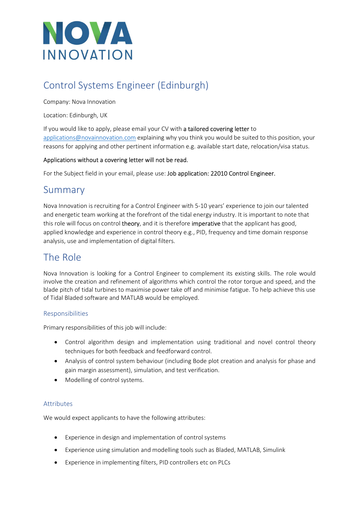

# Control Systems Engineer (Edinburgh)

Company: Nova Innovation

Location: Edinburgh, UK

If you would like to apply, please email your CV with a tailored covering letter to applications@novainnovation.com explaining why you think you would be suited to this position, your reasons for applying and other pertinent information e.g. available start date, relocation/visa status.

#### Applications without a covering letter will not be read.

For the Subject field in your email, please use: Job application: 22010 Control Engineer.

### Summary

Nova Innovation is recruiting for a Control Engineer with 5-10 years' experience to join our talented and energetic team working at the forefront of the tidal energy industry. It is important to note that this role will focus on control theory, and it is therefore imperative that the applicant has good, applied knowledge and experience in control theory e.g., PID, frequency and time domain response analysis, use and implementation of digital filters.

## The Role

Nova Innovation is looking for a Control Engineer to complement its existing skills. The role would involve the creation and refinement of algorithms which control the rotor torque and speed, and the blade pitch of tidal turbines to maximise power take off and minimise fatigue. To help achieve this use of Tidal Bladed software and MATLAB would be employed.

#### Responsibilities

Primary responsibilities of this job will include:

- Control algorithm design and implementation using traditional and novel control theory techniques for both feedback and feedforward control.
- Analysis of control system behaviour (including Bode plot creation and analysis for phase and gain margin assessment), simulation, and test verification.
- Modelling of control systems.

#### Attributes

We would expect applicants to have the following attributes:

- Experience in design and implementation of control systems
- Experience using simulation and modelling tools such as Bladed, MATLAB, Simulink
- Experience in implementing filters, PID controllers etc on PLCs